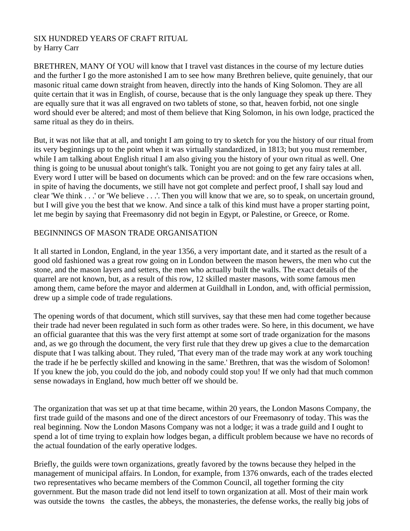## SIX HUNDRED YEARS OF CRAFT RITUAL by Harry Carr

BRETHREN, MANY Of YOU will know that I travel vast distances in the course of my lecture duties and the further I go the more astonished I am to see how many Brethren believe, quite genuinely, that our masonic ritual came down straight from heaven, directly into the hands of King Solomon. They are all quite certain that it was in English, of course, because that is the only language they speak up there. They are equally sure that it was all engraved on two tablets of stone, so that, heaven forbid, not one single word should ever be altered; and most of them believe that King Solomon, in his own lodge, practiced the same ritual as they do in theirs.

But, it was not like that at all, and tonight I am going to try to sketch for you the history of our ritual from its very beginnings up to the point when it was virtually standardized, in 1813; but you must remember, while I am talking about English ritual I am also giving you the history of your own ritual as well. One thing is going to be unusual about tonight's talk. Tonight you are not going to get any fairy tales at all. Every word I utter will be based on documents which can be proved: and on the few rare occasions when, in spite of having the documents, we still have not got complete and perfect proof, I shall say loud and clear 'We think . . .' or 'We believe . . .'. Then you will know that we are, so to speak, on uncertain ground, but I will give you the best that we know. And since a talk of this kind must have a proper starting point, let me begin by saying that Freemasonry did not begin in Egypt, or Palestine, or Greece, or Rome.

## BEGINNINGS OF MASON TRADE ORGANISATION

It all started in London, England, in the year 1356, a very important date, and it started as the result of a good old fashioned was a great row going on in London between the mason hewers, the men who cut the stone, and the mason layers and setters, the men who actually built the walls. The exact details of the quarrel are not known, but, as a result of this row, 12 skilled master masons, with some famous men among them, came before the mayor and aldermen at Guildhall in London, and, with official permission, drew up a simple code of trade regulations.

The opening words of that document, which still survives, say that these men had come together because their trade had never been regulated in such form as other trades were. So here, in this document, we have an official guarantee that this was the very first attempt at some sort of trade organization for the masons and, as we go through the document, the very first rule that they drew up gives a clue to the demarcation dispute that I was talking about. They ruled, 'That every man of the trade may work at any work touching the trade if he be perfectly skilled and knowing in the same.' Brethren, that was the wisdom of Solomon! If you knew the job, you could do the job, and nobody could stop you! If we only had that much common sense nowadays in England, how much better off we should be.

The organization that was set up at that time became, within 20 years, the London Masons Company, the first trade guild of the masons and one of the direct ancestors of our Freemasonry of today. This was the real beginning. Now the London Masons Company was not a lodge; it was a trade guild and I ought to spend a lot of time trying to explain how lodges began, a difficult problem because we have no records of the actual foundation of the early operative lodges.

Briefly, the guilds were town organizations, greatly favored by the towns because they helped in the management of municipal affairs. In London, for example, from 1376 onwards, each of the trades elected two representatives who became members of the Common Council, all together forming the city government. But the mason trade did not lend itself to town organization at all. Most of their main work was outside the towns the castles, the abbeys, the monasteries, the defense works, the really big jobs of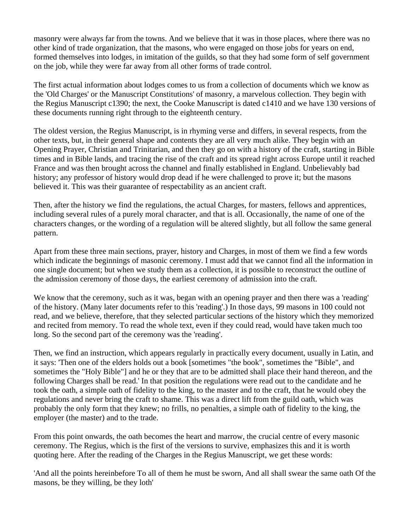masonry were always far from the towns. And we believe that it was in those places, where there was no other kind of trade organization, that the masons, who were engaged on those jobs for years on end, formed themselves into lodges, in imitation of the guilds, so that they had some form of self government on the job, while they were far away from all other forms of trade control.

The first actual information about lodges comes to us from a collection of documents which we know as the 'Old Charges' or the Manuscript Constitutions' of masonry, a marvelous collection. They begin with the Regius Manuscript c1390; the next, the Cooke Manuscript is dated c1410 and we have 130 versions of these documents running right through to the eighteenth century.

The oldest version, the Regius Manuscript, is in rhyming verse and differs, in several respects, from the other texts, but, in their general shape and contents they are all very much alike. They begin with an Opening Prayer, Christian and Trinitarian, and then they go on with a history of the craft, starting in Bible times and in Bible lands, and tracing the rise of the craft and its spread right across Europe until it reached France and was then brought across the channel and finally established in England. Unbelievably bad history; any professor of history would drop dead if he were challenged to prove it; but the masons believed it. This was their guarantee of respectability as an ancient craft.

Then, after the history we find the regulations, the actual Charges, for masters, fellows and apprentices, including several rules of a purely moral character, and that is all. Occasionally, the name of one of the characters changes, or the wording of a regulation will be altered slightly, but all follow the same general pattern.

Apart from these three main sections, prayer, history and Charges, in most of them we find a few words which indicate the beginnings of masonic ceremony. I must add that we cannot find all the information in one single document; but when we study them as a collection, it is possible to reconstruct the outline of the admission ceremony of those days, the earliest ceremony of admission into the craft.

We know that the ceremony, such as it was, began with an opening prayer and then there was a 'reading' of the history. (Many later documents refer to this 'reading'.) In those days, 99 masons in 100 could not read, and we believe, therefore, that they selected particular sections of the history which they memorized and recited from memory. To read the whole text, even if they could read, would have taken much too long. So the second part of the ceremony was the 'reading'.

Then, we find an instruction, which appears regularly in practically every document, usually in Latin, and it says: 'Then one of the elders holds out a book [sometimes "the book", sometimes the "Bible", and sometimes the "Holy Bible"] and he or they that are to be admitted shall place their hand thereon, and the following Charges shall be read.' In that position the regulations were read out to the candidate and he took the oath, a simple oath of fidelity to the king, to the master and to the craft, that he would obey the regulations and never bring the craft to shame. This was a direct lift from the guild oath, which was probably the only form that they knew; no frills, no penalties, a simple oath of fidelity to the king, the employer (the master) and to the trade.

From this point onwards, the oath becomes the heart and marrow, the crucial centre of every masonic ceremony. The Regius, which is the first of the versions to survive, emphasizes this and it is worth quoting here. After the reading of the Charges in the Regius Manuscript, we get these words:

'And all the points hereinbefore To all of them he must be sworn, And all shall swear the same oath Of the masons, be they willing, be they loth'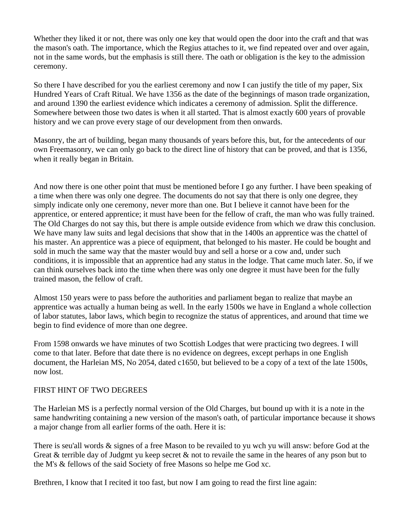Whether they liked it or not, there was only one key that would open the door into the craft and that was the mason's oath. The importance, which the Regius attaches to it, we find repeated over and over again, not in the same words, but the emphasis is still there. The oath or obligation is the key to the admission ceremony.

So there I have described for you the earliest ceremony and now I can justify the title of my paper, Six Hundred Years of Craft Ritual. We have 1356 as the date of the beginnings of mason trade organization, and around 1390 the earliest evidence which indicates a ceremony of admission. Split the difference. Somewhere between those two dates is when it all started. That is almost exactly 600 years of provable history and we can prove every stage of our development from then onwards.

Masonry, the art of building, began many thousands of years before this, but, for the antecedents of our own Freemasonry, we can only go back to the direct line of history that can be proved, and that is 1356, when it really began in Britain.

And now there is one other point that must be mentioned before I go any further. I have been speaking of a time when there was only one degree. The documents do not say that there is only one degree, they simply indicate only one ceremony, never more than one. But I believe it cannot have been for the apprentice, or entered apprentice; it must have been for the fellow of craft, the man who was fully trained. The Old Charges do not say this, but there is ample outside evidence from which we draw this conclusion. We have many law suits and legal decisions that show that in the 1400s an apprentice was the chattel of his master. An apprentice was a piece of equipment, that belonged to his master. He could be bought and sold in much the same way that the master would buy and sell a horse or a cow and, under such conditions, it is impossible that an apprentice had any status in the lodge. That came much later. So, if we can think ourselves back into the time when there was only one degree it must have been for the fully trained mason, the fellow of craft.

Almost 150 years were to pass before the authorities and parliament began to realize that maybe an apprentice was actually a human being as well. In the early 1500s we have in England a whole collection of labor statutes, labor laws, which begin to recognize the status of apprentices, and around that time we begin to find evidence of more than one degree.

From 1598 onwards we have minutes of two Scottish Lodges that were practicing two degrees. I will come to that later. Before that date there is no evidence on degrees, except perhaps in one English document, the Harleian MS, No 2054, dated c1650, but believed to be a copy of a text of the late 1500s, now lost.

#### FIRST HINT OF TWO DEGREES

The Harleian MS is a perfectly normal version of the Old Charges, but bound up with it is a note in the same handwriting containing a new version of the mason's oath, of particular importance because it shows a major change from all earlier forms of the oath. Here it is:

There is seu'all words & signes of a free Mason to be revailed to yu wch yu will answ: before God at the Great & terrible day of Judgmt yu keep secret & not to revaile the same in the heares of any pson but to the M's & fellows of the said Society of free Masons so helpe me God xc.

Brethren, I know that I recited it too fast, but now I am going to read the first line again: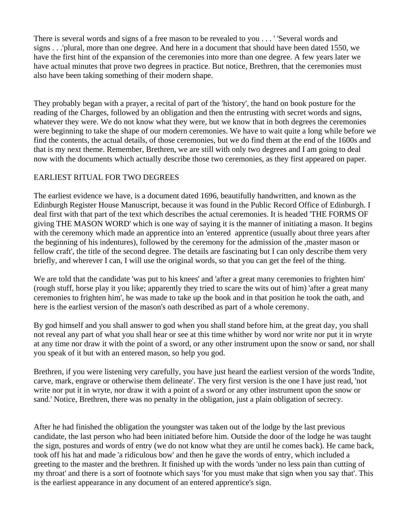There is several words and signs of a free mason to be revealed to you . . . ' 'Several words and signs . . .'plural, more than one degree. And here in a document that should have been dated 1550, we have the first hint of the expansion of the ceremonies into more than one degree. A few years later we have actual minutes that prove two degrees in practice. But notice, Brethren, that the ceremonies must also have been taking something of their modern shape.

They probably began with a prayer, a recital of part of the 'history', the hand on book posture for the reading of the Charges, followed by an obligation and then the entrusting with secret words and signs, whatever they were. We do not know what they were, but we know that in both degrees the ceremonies were beginning to take the shape of our modern ceremonies. We have to wait quite a long while before we find the contents, the actual details, of those ceremonies, but we do find them at the end of the 1600s and that is my next theme. Remember, Brethren, we are still with only two degrees and I am going to deal now with the documents which actually describe those two ceremonies, as they first appeared on paper.

## EARLIEST RITUAL FOR TWO DEGREES

The earliest evidence we have, is a document dated 1696, beautifully handwritten, and known as the Edinburgh Register House Manuscript, because it was found in the Public Record Office of Edinburgh. I deal first with that part of the text which describes the actual ceremonies. It is headed 'THE FORMS OF giving THE MASON WORD' which is one way of saying it is the manner of initiating a mason. It begins with the ceremony which made an apprentice into an 'entered apprentice (usually about three years after the beginning of his indentures), followed by the ceremony for the admission of the ,master mason or fellow craft', the title of the second degree. The details are fascinating but I can only describe them very briefly, and wherever I can, I will use the original words, so that you can get the feel of the thing.

We are told that the candidate 'was put to his knees' and 'after a great many ceremonies to frighten him' (rough stuff, horse play it you like; apparently they tried to scare the wits out of him) 'after a great many ceremonies to frighten him', he was made to take up the book and in that position he took the oath, and here is the earliest version of the mason's oath described as part of a whole ceremony.

By god himself and you shall answer to god when you shall stand before him, at the great day, you shall not reveal any part of what you shall hear or see at this time whither by word nor write nor put it in wryte at any time nor draw it with the point of a sword, or any other instrument upon the snow or sand, nor shall you speak of it but with an entered mason, so help you god.

Brethren, if you were listening very carefully, you have just heard the earliest version of the words 'Indite, carve, mark, engrave or otherwise them delineate'. The very first version is the one I have just read, 'not write nor put it in wryte, nor draw it with a point of a sword or any other instrument upon the snow or sand.' Notice, Brethren, there was no penalty in the obligation, just a plain obligation of secrecy.

After he had finished the obligation the youngster was taken out of the lodge by the last previous candidate, the last person who had been initiated before him. Outside the door of the lodge he was taught the sign, postures and words of entry (we do not know what they are until he comes back). He came back, took off his hat and made 'a ridiculous bow' and then he gave the words of entry, which included a greeting to the master and the brethren. It finished up with the words 'under no less pain than cutting of my throat' and there is a sort of footnote which says 'for you must make that sign when you say that'. This is the earliest appearance in any document of an entered apprentice's sign.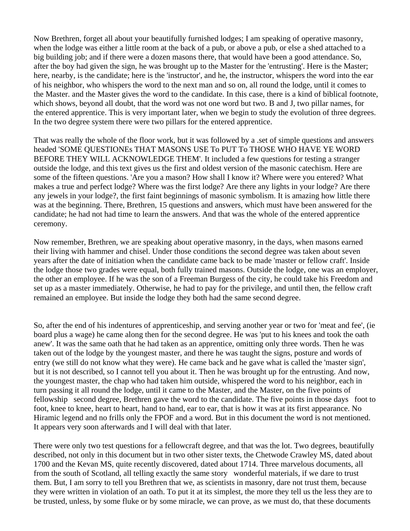Now Brethren, forget all about your beautifully furnished lodges; I am speaking of operative masonry, when the lodge was either a little room at the back of a pub, or above a pub, or else a shed attached to a big building job; and if there were a dozen masons there, that would have been a good attendance. So, after the boy had given the sign, he was brought up to the Master for the 'entrusting'. Here is the Master; here, nearby, is the candidate; here is the 'instructor', and he, the instructor, whispers the word into the ear of his neighbor, who whispers the word to the next man and so on, all round the lodge, until it comes to the Master. and the Master gives the word to the candidate. In this case, there is a kind of biblical footnote, which shows, beyond all doubt, that the word was not one word but two. B and J, two pillar names, for the entered apprentice. This is very important later, when we begin to study the evolution of three degrees. In the two degree system there were two pillars for the entered apprentice.

That was really the whole of the floor work, but it was followed by a .set of simple questions and answers headed 'SOME QUESTIONEs THAT MASONS USE To PUT To THOSE WHO HAVE YE WORD BEFORE THEY WILL ACKNOWLEDGE THEM'. It included a few questions for testing a stranger outside the lodge, and this text gives us the first and oldest version of the masonic catechism. Here are some of the fifteen questions. 'Are you a mason? How shall I know it? Where were you entered? What makes a true and perfect lodge? Where was the first lodge? Are there any lights in your lodge? Are there any jewels in your lodge?, the first faint beginnings of masonic symbolism. It is amazing how little there was at the beginning. There, Brethren, 15 questions and answers, which must have been answered for the candidate; he had not had time to learn the answers. And that was the whole of the entered apprentice ceremony.

Now remember, Brethren, we are speaking about operative masonry, in the days, when masons earned their living with hammer and chisel. Under those conditions the second degree was taken about seven years after the date of initiation when the candidate came back to be made 'master or fellow craft'. Inside the lodge those two grades were equal, both fully trained masons. Outside the lodge, one was an employer, the other an employee. If he was the son of a Freeman Burgess of the city, he could take his Freedom and set up as a master immediately. Otherwise, he had to pay for the privilege, and until then, the fellow craft remained an employee. But inside the lodge they both had the same second degree.

So, after the end of his indentures of apprenticeship, and serving another year or two for 'meat and fee', (ie board plus a wage) he came along then for the second degree. He was 'put to his knees and took the oath anew'. It was the same oath that he had taken as an apprentice, omitting only three words. Then he was taken out of the lodge by the youngest master, and there he was taught the signs, posture and words of entry (we still do not know what they were). He came back and he gave what is called the 'master sign', but it is not described, so I cannot tell you about it. Then he was brought up for the entrusting. And now, the youngest master, the chap who had taken him outside, whispered the word to his neighbor, each in turn passing it all round the lodge, until it came to the Master, and the Master, on the five points of fellowship second degree, Brethren gave the word to the candidate. The five points in those days foot to foot, knee to knee, heart to heart, hand to hand, ear to ear, that is how it was at its first appearance. No Hiramic legend and no frills only the FPOF and a word. But in this document the word is not mentioned. It appears very soon afterwards and I will deal with that later.

There were only two test questions for a fellowcraft degree, and that was the lot. Two degrees, beautifully described, not only in this document but in two other sister texts, the Chetwode Crawley MS, dated about 1700 and the Kevan MS, quite recently discovered, dated about 1714. Three marvelous documents, all from the south of Scotland, all telling exactly the same story wonderful materials, if we dare to trust them. But, I am sorry to tell you Brethren that we, as scientists in masonry, dare not trust them, because they were written in violation of an oath. To put it at its simplest, the more they tell us the less they are to be trusted, unless, by some fluke or by some miracle, we can prove, as we must do, that these documents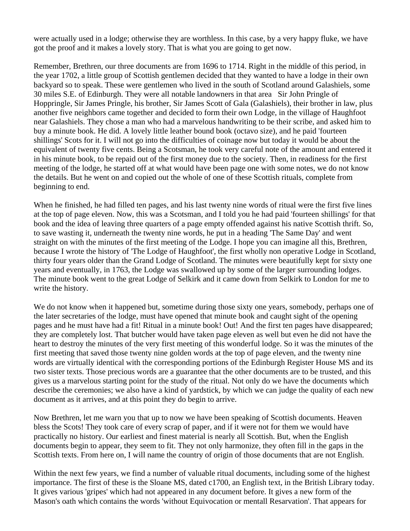were actually used in a lodge; otherwise they are worthless. In this case, by a very happy fluke, we have got the proof and it makes a lovely story. That is what you are going to get now.

Remember, Brethren, our three documents are from 1696 to 1714. Right in the middle of this period, in the year 1702, a little group of Scottish gentlemen decided that they wanted to have a lodge in their own backyard so to speak. These were gentlemen who lived in the south of Scotland around Galashiels, some 30 miles S.E. of Edinburgh. They were all notable landowners in that area Sir John Pringle of Hoppringle, Sir James Pringle, his brother, Sir James Scott of Gala (Galashiels), their brother in law, plus another five neighbors came together and decided to form their own Lodge, in the village of Haughfoot near Galashiels. They chose a man who had a marvelous handwriting to be their scribe, and asked him to buy a minute book. He did. A lovely little leather bound book (octavo size), and he paid 'fourteen shillings' Scots for it. I will not go into the difficulties of coinage now but today it would be about the equivalent of twenty five cents. Being a Scotsman, he took very careful note of the amount and entered it in his minute book, to be repaid out of the first money due to the society. Then, in readiness for the first meeting of the lodge, he started off at what would have been page one with some notes, we do not know the details. But he went on and copied out the whole of one of these Scottish rituals, complete from beginning to end.

When he finished, he had filled ten pages, and his last twenty nine words of ritual were the first five lines at the top of page eleven. Now, this was a Scotsman, and I told you he had paid 'fourteen shillings' for that book and the idea of leaving three quarters of a page empty offended against his native Scottish thrift. So, to save wasting it, underneath the twenty nine words, he put in a heading 'The Same Day' and went straight on with the minutes of the first meeting of the Lodge. I hope you can imagine all this, Brethren, because I wrote the history of 'The Lodge of Haughfoot', the first wholly non operative Lodge in Scotland, thirty four years older than the Grand Lodge of Scotland. The minutes were beautifully kept for sixty one years and eventually, in 1763, the Lodge was swallowed up by some of the larger surrounding lodges. The minute book went to the great Lodge of Selkirk and it came down from Selkirk to London for me to write the history.

We do not know when it happened but, sometime during those sixty one years, somebody, perhaps one of the later secretaries of the lodge, must have opened that minute book and caught sight of the opening pages and he must have had a fit! Ritual in a minute book! Out! And the first ten pages have disappeared; they are completely lost. That butcher would have taken page eleven as well but even he did not have the heart to destroy the minutes of the very first meeting of this wonderful lodge. So it was the minutes of the first meeting that saved those twenty nine golden words at the top of page eleven, and the twenty nine words are virtually identical with the corresponding portions of the Edinburgh Register House MS and its two sister texts. Those precious words are a guarantee that the other documents are to be trusted, and this gives us a marvelous starting point for the study of the ritual. Not only do we have the documents which describe the ceremonies; we also have a kind of yardstick, by which we can judge the quality of each new document as it arrives, and at this point they do begin to arrive.

Now Brethren, let me warn you that up to now we have been speaking of Scottish documents. Heaven bless the Scots! They took care of every scrap of paper, and if it were not for them we would have practically no history. Our earliest and finest material is nearly all Scottish. But, when the English documents begin to appear, they seem to fit. They not only harmonize, they often fill in the gaps in the Scottish texts. From here on, I will name the country of origin of those documents that are not English.

Within the next few years, we find a number of valuable ritual documents, including some of the highest importance. The first of these is the Sloane MS, dated c1700, an English text, in the British Library today. It gives various 'gripes' which had not appeared in any document before. It gives a new form of the Mason's oath which contains the words 'without Equivocation or mentall Resarvation'. That appears for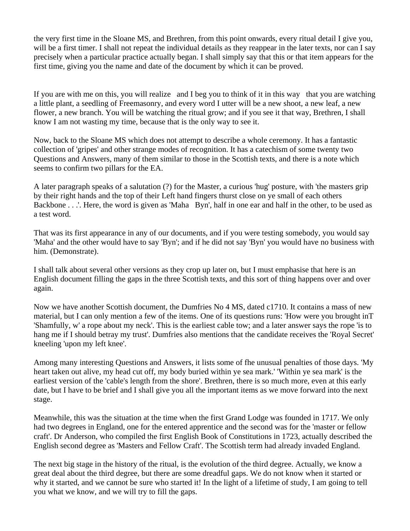the very first time in the Sloane MS, and Brethren, from this point onwards, every ritual detail I give you, will be a first timer. I shall not repeat the individual details as they reappear in the later texts, nor can I say precisely when a particular practice actually began. I shall simply say that this or that item appears for the first time, giving you the name and date of the document by which it can be proved.

If you are with me on this, you will realize and I beg you to think of it in this way that you are watching a little plant, a seedling of Freemasonry, and every word I utter will be a new shoot, a new leaf, a new flower, a new branch. You will be watching the ritual grow; and if you see it that way, Brethren, I shall know I am not wasting my time, because that is the only way to see it.

Now, back to the Sloane MS which does not attempt to describe a whole ceremony. It has a fantastic collection of 'gripes' and other strange modes of recognition. It has a catechism of some twenty two Questions and Answers, many of them similar to those in the Scottish texts, and there is a note which seems to confirm two pillars for the EA.

A later paragraph speaks of a salutation (?) for the Master, a curious 'hug' posture, with 'the masters grip by their right hands and the top of their Left hand fingers thurst close on ye small of each others Backbone . . .'. Here, the word is given as 'Maha Byn', half in one ear and half in the other, to be used as a test word.

That was its first appearance in any of our documents, and if you were testing somebody, you would say 'Maha' and the other would have to say 'Byn'; and if he did not say 'Byn' you would have no business with him. (Demonstrate).

I shall talk about several other versions as they crop up later on, but I must emphasise that here is an English document filling the gaps in the three Scottish texts, and this sort of thing happens over and over again.

Now we have another Scottish document, the Dumfries No 4 MS, dated c1710. It contains a mass of new material, but I can only mention a few of the items. One of its questions runs: 'How were you brought inT 'Shamfully, w' a rope about my neck'. This is the earliest cable tow; and a later answer says the rope 'is to hang me if I should betray my trust'. Dumfries also mentions that the candidate receives the 'Royal Secret' kneeling 'upon my left knee'.

Among many interesting Questions and Answers, it lists some of fhe unusual penalties of those days. 'My heart taken out alive, my head cut off, my body buried within ye sea mark.' 'Within ye sea mark' is the earliest version of the 'cable's length from the shore'. Brethren, there is so much more, even at this early date, but I have to be brief and I shall give you all the important items as we move forward into the next stage.

Meanwhile, this was the situation at the time when the first Grand Lodge was founded in 1717. We only had two degrees in England, one for the entered apprentice and the second was for the 'master or fellow craft'. Dr Anderson, who compiled the first English Book of Constitutions in 1723, actually described the English second degree as 'Masters and Fellow Craft'. The Scottish term had already invaded England.

The next big stage in the history of the ritual, is the evolution of the third degree. Actually, we know a great deal about the third degree, but there are some dreadful gaps. We do not know when it started or why it started, and we cannot be sure who started it! In the light of a lifetime of study, I am going to tell you what we know, and we will try to fill the gaps.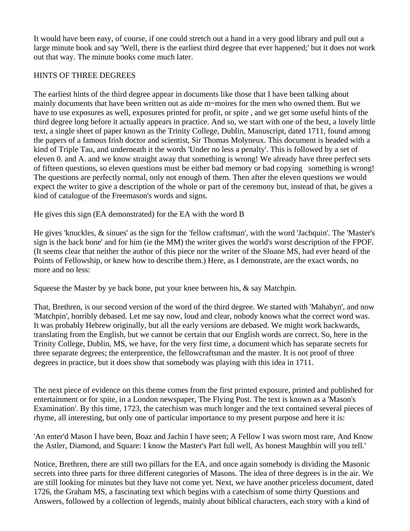It would have been easy, of course, if one could stretch out a hand in a very good library and pull out a large minute book and say 'Well, there is the earliest third degree that ever happened;' but it does not work out that way. The minute books come much later.

# HINTS OF THREE DEGREES

The earliest hints of the third degree appear in documents like those that I have been talking about mainly documents that have been written out as aide m~moires for the men who owned them. But we have to use exposures as well, exposures printed for profit, or spite , and we get some useful hints of the third degree long before it actually appears in practice. And so, we start with one of the best, a lovely little text, a single sheet of paper known as the Trinity College, Dublin, Manuscript, dated 1711, found among the papers of a famous Irish doctor and scientist, Sir Thomas Molyneux. This document is headed with a kind of Triple Tau, and underneath it the words 'Under no less a penalty'. This is followed by a set of eleven 0. and A. and we know straight away that something is wrong! We already have three perfect sets of fifteen questions, so eleven questions must be either bad memory or bad copying something is wrong! The questions are perfectly normal, only not enough of them. Then after the eleven questions we would expect the writer to give a description of the whole or part of the ceremony but, instead of that, he gives a kind of catalogue of the Freemason's words and signs.

He gives this sign (EA demonstrated) for the EA with the word B

He gives 'knuckles, & sinues' as the sign for the 'fellow craftsman', with the word 'Jachquin'. The 'Master's sign is the back bone' and for him (ie the MM) the writer gives the world's worst description of the FPOF. (It seems clear that neither the author of this piece nor the writer of the Sloane MS, had ever heard of the Points of Fellowship, or knew how to describe them.) Here, as I demonstrate, are the exact words, no more and no less:

Squeese the Master by ye back bone, put your knee between his, & say Matchpin.

That, Brethren, is our second version of the word of the third degree. We started with 'Mahabyn', and now 'Matchpin', horribly debased. Let me say now, loud and clear, nobody knows what the correct word was. It was probably Hebrew originally, but all the early versions are debased. We might work backwards, translating from the English, but we cannot be certain that our English words are correct. So, here in the Trinity College, Dublin, MS, we have, for the very first time, a document which has separate secrets for three separate degrees; the enterprentice, the fellowcraftsman and the master. It is not proof of three degrees in practice, but it does show that somebody was playing with this idea in 1711.

The next piece of evidence on this theme comes from the first printed exposure, printed and published for entertainment or for spite, in a London newspaper, The Flying Post. The text is known as a 'Mason's Examination'. By this time, 1723, the catechism was much longer and the text contained several pieces of rhyme, all interesting, but only one of particular importance to my present purpose and here it is:

'An enter'd Mason I have been, Boaz and Jachin I have seen; A Fellow I was sworn most rare, And Know the Astler, Diamond, and Square: I know the Master's Part full well, As honest Maughbin will you tell.'

Notice, Brethren, there are still two pillars for the EA, and once again somebody is dividing the Masonic secrets into three parts for three different categories of Masons. The idea of three degrees is in the air. We are still looking for minutes but they have not come yet. Next, we have another priceless document, dated 1726, the Graham MS, a fascinating text which begins with a catechism of some thirty Questions and Answers, followed by a collection of legends, mainly about biblical characters, each story with a kind of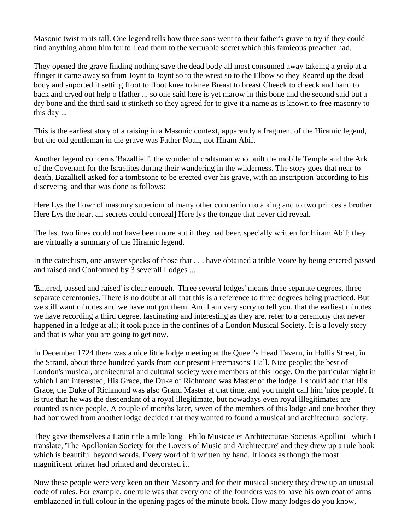Masonic twist in its tall. One legend tells how three sons went to their father's grave to try if they could find anything about him for to Lead them to the vertuable secret which this famieous preacher had.

They opened the grave finding nothing save the dead body all most consumed away takeing a greip at a ffinger it came away so from Joynt to Joynt so to the wrest so to the Elbow so they Reared up the dead body and suported it setting ffoot to ffoot knee to knee Breast to breast Cheeck to cheeck and hand to back and cryed out help o ffather ... so one said here is yet marow in this bone and the second said but a dry bone and the third said it stinketh so they agreed for to give it a name as is known to free masonry to this day ...

This is the earliest story of a raising in a Masonic context, apparently a fragment of the Hiramic legend, but the old gentleman in the grave was Father Noah, not Hiram Abif.

Another legend concerns 'Bazalliell', the wonderful craftsman who built the mobile Temple and the Ark of the Covenant for the Israelites during their wandering in the wilderness. The story goes that near to death, Bazalliell asked for a tombstone to be erected over his grave, with an inscription 'according to his diserveing' and that was done as follows:

Here Lys the flowr of masonry superiour of many other companion to a king and to two princes a brother Here Lys the heart all secrets could conceal] Here lys the tongue that never did reveal.

The last two lines could not have been more apt if they had beer, specially written for Hiram Abif; they are virtually a summary of the Hiramic legend.

In the catechism, one answer speaks of those that . . . have obtained a trible Voice by being entered passed and raised and Conformed by 3 severall Lodges ...

'Entered, passed and raised' is clear enough. 'Three several lodges' means three separate degrees, three separate ceremonies. There is no doubt at all that this is a reference to three degrees being practiced. But we still want minutes and we have not got them. And I am very sorry to tell you, that the earliest minutes we have recording a third degree, fascinating and interesting as they are, refer to a ceremony that never happened in a lodge at all; it took place in the confines of a London Musical Society. It is a lovely story and that is what you are going to get now.

In December 1724 there was a nice little lodge meeting at the Queen's Head Tavern, in Hollis Street, in the Strand, about three hundred yards from our present Freemasons' Hall. Nice people; the best of London's musical, architectural and cultural society were members of this lodge. On the particular night in which I am interested, His Grace, the Duke of Richmond was Master of the lodge. I should add that His Grace, the Duke of Richmond was also Grand Master at that time, and you might call him 'nice people'. It is true that he was the descendant of a royal illegitimate, but nowadays even royal illegitimates are counted as nice people. A couple of months later, seven of the members of this lodge and one brother they had borrowed from another lodge decided that they wanted to found a musical and architectural society.

They gave themselves a Latin title a mile long Philo Musicae et Architecturae Societas Apollini which I translate, 'The Apollonian Society for the Lovers of Music and Architecture' and they drew up a rule book which is beautiful beyond words. Every word of it written by hand. It looks as though the most magnificent printer had printed and decorated it.

Now these people were very keen on their Masonry and for their musical society they drew up an unusual code of rules. For example, one rule was that every one of the founders was to have his own coat of arms emblazoned in full colour in the opening pages of the minute book. How many lodges do you know,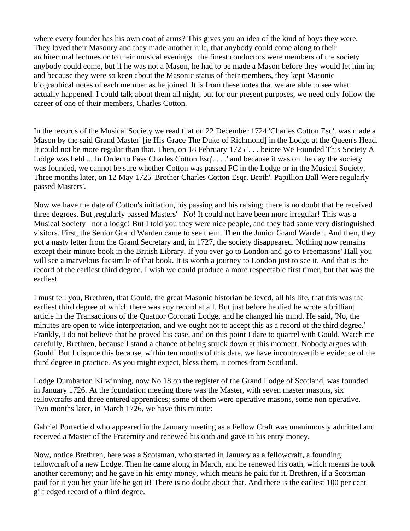where every founder has his own coat of arms? This gives you an idea of the kind of boys they were. They loved their Masonry and they made another rule, that anybody could come along to their architectural lectures or to their musical evenings the finest conductors were members of the society anybody could come, but if he was not a Mason, he had to be made a Mason before they would let him in; and because they were so keen about the Masonic status of their members, they kept Masonic biographical notes of each member as he joined. It is from these notes that we are able to see what actually happened. I could talk about them all night, but for our present purposes, we need only follow the career of one of their members, Charles Cotton.

In the records of the Musical Society we read that on 22 December 1724 'Charles Cotton Esq'. was made a Mason by the said Grand Master' [ie His Grace The Duke of Richmond] in the Lodge at the Queen's Head. It could not be more regular than that. Then, on 18 February 1725 '. . . beiore We Founded This Society A Lodge was held ... In Order to Pass Charles Cotton Esq'...' and because it was on the day the society was founded, we cannot be sure whether Cotton was passed FC in the Lodge or in the Musical Society. Three months later, on 12 May 1725 'Brother Charles Cotton Esqr. Broth'. Papillion Ball Were regularly passed Masters'.

Now we have the date of Cotton's initiation, his passing and his raising; there is no doubt that he received three degrees. But ,regularly passed Masters' No! It could not have been more irregular! This was a Musical Society not a lodge! But I told you they were nice people, and they had some very distinguished visitors. First, the Senior Grand Warden came to see them. Then the Junior Grand Warden. And then, they got a nasty letter from the Grand Secretary and, in 1727, the society disappeared. Nothing now remains except their minute book in the British Library. If you ever go to London and go to Freemasons' Hall you will see a marvelous facsimile of that book. It is worth a journey to London just to see it. And that is the record of the earliest third degree. I wish we could produce a more respectable first timer, but that was the earliest.

I must tell you, Brethren, that Gould, the great Masonic historian believed, all his life, that this was the earliest third degree of which there was any record at all. But just before he died he wrote a brilliant article in the Transactions of the Quatuor Coronati Lodge, and he changed his mind. He said, 'No, the minutes are open to wide interpretation, and we ought not to accept this as a record of the third degree.' Frankly, I do not believe that he proved his case, and on this point I dare to quarrel with Gould. Watch me carefully, Brethren, because I stand a chance of being struck down at this moment. Nobody argues with Gould! But I dispute this because, within ten months of this date, we have incontrovertible evidence of the third degree in practice. As you might expect, bless them, it comes from Scotland.

Lodge Dumbarton Kilwinning, now No 18 on the register of the Grand Lodge of Scotland, was founded in January 1726. At the foundation meeting there was the Master, with seven master masons, six fellowcrafts and three entered apprentices; some of them were operative masons, some non operative. Two months later, in March 1726, we have this minute:

Gabriel Porterfield who appeared in the January meeting as a Fellow Craft was unanimously admitted and received a Master of the Fraternity and renewed his oath and gave in his entry money.

Now, notice Brethren, here was a Scotsman, who started in January as a fellowcraft, a founding fellowcraft of a new Lodge. Then he came along in March, and he renewed his oath, which means he took another ceremony; and he gave in his entry money, which means he paid for it. Brethren, if a Scotsman paid for it you bet your life he got it! There is no doubt about that. And there is the earliest 100 per cent gilt edged record of a third degree.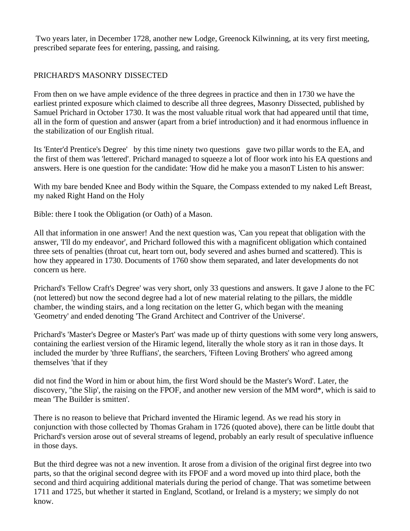Two years later, in December 1728, another new Lodge, Greenock Kilwinning, at its very first meeting, prescribed separate fees for entering, passing, and raising.

# PRICHARD'S MASONRY DISSECTED

From then on we have ample evidence of the three degrees in practice and then in 1730 we have the earliest printed exposure which claimed to describe all three degrees, Masonry Dissected, published by Samuel Prichard in October 1730. It was the most valuable ritual work that had appeared until that time, all in the form of question and answer (apart from a brief introduction) and it had enormous influence in the stabilization of our English ritual.

Its 'Enter'd Prentice's Degree' by this time ninety two questions gave two pillar words to the EA, and the first of them was 'lettered'. Prichard managed to squeeze a lot of floor work into his EA questions and answers. Here is one question for the candidate: 'How did he make you a masonT Listen to his answer:

With my bare bended Knee and Body within the Square, the Compass extended to my naked Left Breast, my naked Right Hand on the Holy

Bible: there I took the Obligation (or Oath) of a Mason.

All that information in one answer! And the next question was, 'Can you repeat that obligation with the answer, 'I'll do my endeavor', and Prichard followed this with a magnificent obligation which contained three sets of penalties (throat cut, heart torn out, body severed and ashes burned and scattered). This is how they appeared in 1730. Documents of 1760 show them separated, and later developments do not concern us here.

Prichard's 'Fellow Craft's Degree' was very short, only 33 questions and answers. It gave J alone to the FC (not lettered) but now the second degree had a lot of new material relating to the pillars, the middle chamber, the winding stairs, and a long recitation on the letter G, which began with the meaning 'Geometry' and ended denoting 'The Grand Architect and Contriver of the Universe'.

Prichard's 'Master's Degree or Master's Part' was made up of thirty questions with some very long answers, containing the earliest version of the Hiramic legend, literally the whole story as it ran in those days. It included the murder by 'three Ruffians', the searchers, 'Fifteen Loving Brothers' who agreed among themselves 'that if they

did not find the Word in him or about him, the first Word should be the Master's Word'. Later, the discovery, "the Slip', the raising on the FPOF, and another new version of the MM word\*, which is said to mean 'The Builder is smitten'.

There is no reason to believe that Prichard invented the Hiramic legend. As we read his story in conjunction with those collected by Thomas Graham in 1726 (quoted above), there can be little doubt that Prichard's version arose out of several streams of legend, probably an early result of speculative influence in those days.

But the third degree was not a new invention. It arose from a division of the original first degree into two parts, so that the original second degree with its FPOF and a word moved up into third place, both the second and third acquiring additional materials during the period of change. That was sometime between 1711 and 1725, but whether it started in England, Scotland, or Ireland is a mystery; we simply do not know.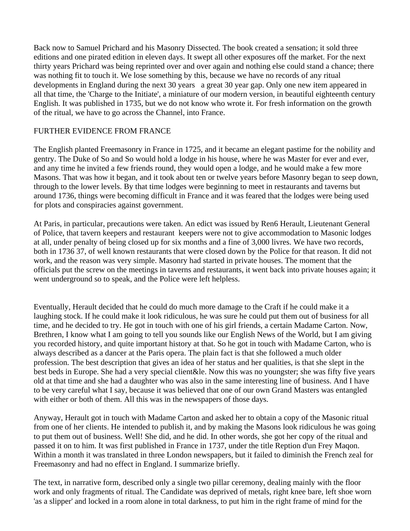Back now to Samuel Prichard and his Masonry Dissected. The book created a sensation; it sold three editions and one pirated edition in eleven days. It swept all other exposures off the market. For the next thirty years Prichard was being reprinted over and over again and nothing else could stand a chance; there was nothing fit to touch it. We lose something by this, because we have no records of any ritual developments in England during the next 30 years a great 30 year gap. Only one new item appeared in all that time, the 'Charge to the Initiate', a miniature of our modern version, in beautiful eighteenth century English. It was published in 1735, but we do not know who wrote it. For fresh information on the growth of the ritual, we have to go across the Channel, into France.

## FURTHER EVIDENCE FROM FRANCE

The English planted Freemasonry in France in 1725, and it became an elegant pastime for the nobility and gentry. The Duke of So and So would hold a lodge in his house, where he was Master for ever and ever, and any time he invited a few friends round, they would open a lodge, and he would make a few more Masons. That was how it began, and it took about ten or twelve years before Masonry began to seep down, through to the lower levels. By that time lodges were beginning to meet in restaurants and taverns but around 1736, things were becoming difficult in France and it was feared that the lodges were being used for plots and conspiracies against government.

At Paris, in particular, precautions were taken. An edict was issued by Ren6 Herault, Lieutenant General of Police, that tavern keepers and restaurant keepers were not to give accommodation to Masonic lodges at all, under penalty of being closed up for six months and a fine of 3,000 livres. We have two records, both in 1736 37, of well known restaurants that were closed down by the Police for that reason. It did not work, and the reason was very simple. Masonry had started in private houses. The moment that the officials put the screw on the meetings in taverns and restaurants, it went back into private houses again; it went underground so to speak, and the Police were left helpless.

Eventually, Herault decided that he could do much more damage to the Craft if he could make it a laughing stock. If he could make it look ridiculous, he was sure he could put them out of business for all time, and he decided to try. He got in touch with one of his girl friends, a certain Madame Carton. Now, Brethren, I know what I am going to tell you sounds like our English News of the World, but I am giving you recorded history, and quite important history at that. So he got in touch with Madame Carton, who is always described as a dancer at the Paris opera. The plain fact is that she followed a much older profession. The best description that gives an idea of her status and her qualities, is that she slept in the best beds in Europe. She had a very special client&le. Now this was no youngster; she was fifty five years old at that time and she had a daughter who was also in the same interesting line of business. And I have to be very careful what I say, because it was believed that one of our own Grand Masters was entangled with either or both of them. All this was in the newspapers of those days.

Anyway, Herault got in touch with Madame Carton and asked her to obtain a copy of the Masonic ritual from one of her clients. He intended to publish it, and by making the Masons look ridiculous he was going to put them out of business. Well! She did, and he did. In other words, she got her copy of the ritual and passed it on to him. It was first published in France in 1737, under the title Reption d'un Frey Maqon. Within a month it was translated in three London newspapers, but it failed to diminish the French zeal for Freemasonry and had no effect in England. I summarize briefly.

The text, in narrative form, described only a single two pillar ceremony, dealing mainly with the floor work and only fragments of ritual. The Candidate was deprived of metals, right knee bare, left shoe worn 'as a slipper' and locked in a room alone in total darkness, to put him in the right frame of mind for the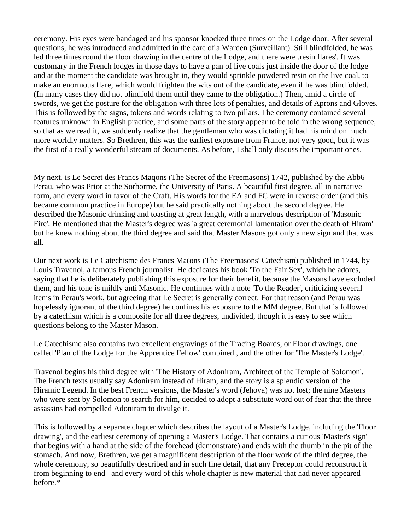ceremony. His eyes were bandaged and his sponsor knocked three times on the Lodge door. After several questions, he was introduced and admitted in the care of a Warden (Surveillant). Still blindfolded, he was led three times round the floor drawing in the centre of the Lodge, and there were .resin flares'. It was customary in the French lodges in those days to have a pan of live coals just inside the door of the lodge and at the moment the candidate was brought in, they would sprinkle powdered resin on the live coal, to make an enormous flare, which would frighten the wits out of the candidate, even if he was blindfolded. (In many cases they did not blindfold them until they came to the obligation.) Then, amid a circle of swords, we get the posture for the obligation with three lots of penalties, and details of Aprons and Gloves. This is followed by the signs, tokens and words relating to two pillars. The ceremony contained several features unknown in English practice, and some parts of the story appear to be told in the wrong sequence, so that as we read it, we suddenly realize that the gentleman who was dictating it had his mind on much more worldly matters. So Brethren, this was the earliest exposure from France, not very good, but it was the first of a really wonderful stream of documents. As before, I shall only discuss the important ones.

My next, is Le Secret des Francs Maqons (The Secret of the Freemasons) 1742, published by the Abb6 Perau, who was Prior at the Sorborme, the University of Paris. A beautiful first degree, all in narrative form, and every word in favor of the Craft. His words for the EA and FC were in reverse order (and this became common practice in Europe) but he said practically nothing about the second degree. He described the Masonic drinking and toasting at great length, with a marvelous description of 'Masonic Fire'. He mentioned that the Master's degree was 'a great ceremonial lamentation over the death of Hiram' but he knew nothing about the third degree and said that Master Masons got only a new sign and that was all.

Our next work is Le Catechisme des Francs Ma(ons (The Freemasons' Catechism) published in 1744, by Louis Travenol, a famous French journalist. He dedicates his book 'To the Fair Sex', which he adores, saying that he is deliberately publishing this exposure for their benefit, because the Masons have excluded them, and his tone is mildly anti Masonic. He continues with a note 'To the Reader', criticizing several items in Perau's work, but agreeing that Le Secret is generally correct. For that reason (and Perau was hopelessly ignorant of the third degree) he confines his exposure to the MM degree. But that is followed by a catechism which is a composite for all three degrees, undivided, though it is easy to see which questions belong to the Master Mason.

Le Catechisme also contains two excellent engravings of the Tracing Boards, or Floor drawings, one called 'Plan of the Lodge for the Apprentice Fellow' combined , and the other for 'The Master's Lodge'.

Travenol begins his third degree with 'The History of Adoniram, Architect of the Temple of Solomon'. The French texts usually say Adoniram instead of Hiram, and the story is a splendid version of the Hiramic Legend. In the best French versions, the Master's word (Jehova) was not lost; the nine Masters who were sent by Solomon to search for him, decided to adopt a substitute word out of fear that the three assassins had compelled Adoniram to divulge it.

This is followed by a separate chapter which describes the layout of a Master's Lodge, including the 'Floor drawing', and the earliest ceremony of opening a Master's Lodge. That contains a curious 'Master's sign' that begins with a hand at the side of the forehead (demonstrate) and ends with the thumb in the pit of the stomach. And now, Brethren, we get a magnificent description of the floor work of the third degree, the whole ceremony, so beautifully described and in such fine detail, that any Preceptor could reconstruct it from beginning to end and every word of this whole chapter is new material that had never appeared before.\*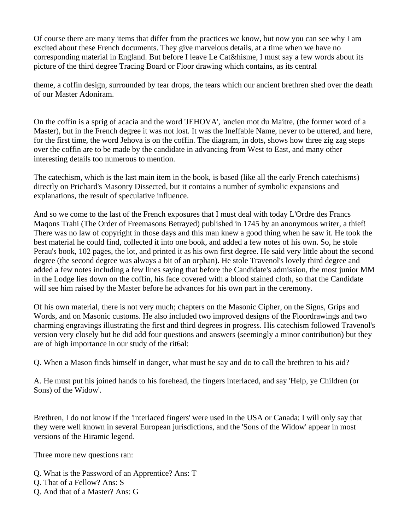Of course there are many items that differ from the practices we know, but now you can see why I am excited about these French documents. They give marvelous details, at a time when we have no corresponding material in England. But before I leave Le Cat&hisme, I must say a few words about its picture of the third degree Tracing Board or Floor drawing which contains, as its central

theme, a coffin design, surrounded by tear drops, the tears which our ancient brethren shed over the death of our Master Adoniram.

On the coffin is a sprig of acacia and the word 'JEHOVA', 'ancien mot du Maitre, (the former word of a Master), but in the French degree it was not lost. It was the Ineffable Name, never to be uttered, and here, for the first time, the word Jehova is on the coffin. The diagram, in dots, shows how three zig zag steps over the coffin are to be made by the candidate in advancing from West to East, and many other interesting details too numerous to mention.

The catechism, which is the last main item in the book, is based (like all the early French catechisms) directly on Prichard's Masonry Dissected, but it contains a number of symbolic expansions and explanations, the result of speculative influence.

And so we come to the last of the French exposures that I must deal with today L'Ordre des Francs Maqons Trahi (The Order of Freemasons Betrayed) published in 1745 by an anonymous writer, a thief! There was no law of copyright in those days and this man knew a good thing when he saw it. He took the best material he could find, collected it into one book, and added a few notes of his own. So, he stole Perau's book, 102 pages, the lot, and printed it as his own first degree. He said very little about the second degree (the second degree was always a bit of an orphan). He stole Travenol's lovely third degree and added a few notes including a few lines saying that before the Candidate's admission, the most junior MM in the Lodge lies down on the coffin, his face covered with a blood stained cloth, so that the Candidate will see him raised by the Master before he advances for his own part in the ceremony.

Of his own material, there is not very much; chapters on the Masonic Cipher, on the Signs, Grips and Words, and on Masonic customs. He also included two improved designs of the Floordrawings and two charming engravings illustrating the first and third degrees in progress. His catechism followed Travenol's version very closely but he did add four questions and answers (seemingly a minor contribution) but they are of high importance in our study of the rit6al:

Q. When a Mason finds himself in danger, what must he say and do to call the brethren to his aid?

A. He must put his joined hands to his forehead, the fingers interlaced, and say 'Help, ye Children (or Sons) of the Widow'.

Brethren, I do not know if the 'interlaced fingers' were used in the USA or Canada; I will only say that they were well known in several European jurisdictions, and the 'Sons of the Widow' appear in most versions of the Hiramic legend.

Three more new questions ran:

Q. What is the Password of an Apprentice? Ans: T

- Q. That of a Fellow? Ans: S
- Q. And that of a Master? Ans: G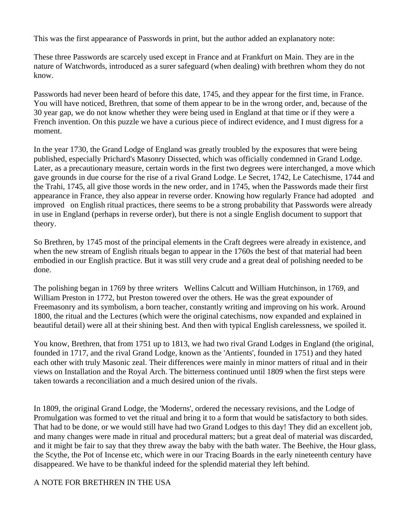This was the first appearance of Passwords in print, but the author added an explanatory note:

These three Passwords are scarcely used except in France and at Frankfurt on Main. They are in the nature of Watchwords, introduced as a surer safeguard (when dealing) with brethren whom they do not know.

Passwords had never been heard of before this date, 1745, and they appear for the first time, in France. You will have noticed, Brethren, that some of them appear to be in the wrong order, and, because of the 30 year gap, we do not know whether they were being used in England at that time or if they were a French invention. On this puzzle we have a curious piece of indirect evidence, and I must digress for a moment.

In the year 1730, the Grand Lodge of England was greatly troubled by the exposures that were being published, especially Prichard's Masonry Dissected, which was officially condemned in Grand Lodge. Later, as a precautionary measure, certain words in the first two degrees were interchanged, a move which gave grounds in due course for the rise of a rival Grand Lodge. Le Secret, 1742, Le Catechisme, 1744 and the Trahi, 1745, all give those words in the new order, and in 1745, when the Passwords made their first appearance in France, they also appear in reverse order. Knowing how regularly France had adopted and improved on English ritual practices, there seems to be a strong probability that Passwords were already in use in England (perhaps in reverse order), but there is not a single English document to support that theory.

So Brethren, by 1745 most of the principal elements in the Craft degrees were already in existence, and when the new stream of English rituals began to appear in the 1760s the best of that material had been embodied in our English practice. But it was still very crude and a great deal of polishing needed to be done.

The polishing began in 1769 by three writers Wellins Calcutt and William Hutchinson, in 1769, and William Preston in 1772, but Preston towered over the others. He was the great expounder of Freemasonry and its symbolism, a born teacher, constantly writing and improving on his work. Around 1800, the ritual and the Lectures (which were the original catechisms, now expanded and explained in beautiful detail) were all at their shining best. And then with typical English carelessness, we spoiled it.

You know, Brethren, that from 1751 up to 1813, we had two rival Grand Lodges in England (the original, founded in 1717, and the rival Grand Lodge, known as the 'Antients', founded in 1751) and they hated each other with truly Masonic zeal. Their differences were mainly in minor matters of ritual and in their views on Installation and the Royal Arch. The bitterness continued until 1809 when the first steps were taken towards a reconciliation and a much desired union of the rivals.

In 1809, the original Grand Lodge, the 'Moderns', ordered the necessary revisions, and the Lodge of Promulgation was formed to vet the ritual and bring it to a form that would be satisfactory to both sides. That had to be done, or we would still have had two Grand Lodges to this day! They did an excellent job, and many changes were made in ritual and procedural matters; but a great deal of material was discarded, and it might be fair to say that they threw away the baby with the bath water. The Beehive, the Hour glass, the Scythe, the Pot of Incense etc, which were in our Tracing Boards in the early nineteenth century have disappeared. We have to be thankful indeed for the splendid material they left behind.

## A NOTE FOR BRETHREN IN THE USA